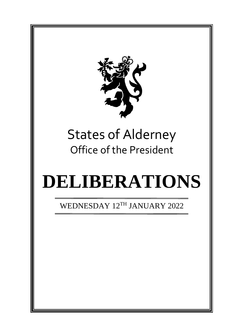

# States of Alderney Office of the President

# **DELIBERATIONS**

WEDNESDAY 12TH JANUARY 2022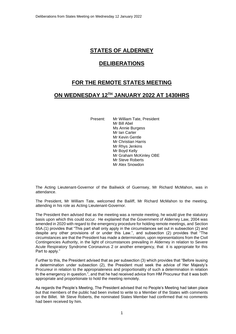# **STATES OF ALDERNEY**

## **DELIBERATIONS**

# **FOR THE REMOTE STATES MEETING**

## **ON WEDNESDAY 12 TH JANUARY 2022 AT 1430HRS**

Present: Mr William Tate, President Mr Bill Abel Ms Annie Burgess Mr Ian Carter Mr Kevin Gentle Mr Christian Harris Mr Rhys Jenkins Mr Boyd Kelly Mr Graham McKinley OBE Mr Steve Roberts Mr Alex Snowdon

The Acting Lieutenant-Governor of the Bailiwick of Guernsey, Mr Richard McMahon, was in attendance.

The President, Mr William Tate, welcomed the Bailiff, Mr Richard McMahon to the meeting, attending in his role as Acting Lieutenant-Governor.

The President then advised that as the meeting was a remote meeting, he would give the statutory basis upon which this could occur. He explained that the Government of Alderney Law, 2004 was amended in 2020 with regard to the emergency procedure for holding remote meetings, and Section 55A.(1) provides that "This part shall only apply in the circumstances set out in subsection (2) and despite any other provisions of or under this Law.", and subsection (2) provides that "The circumstances are that the President has made a determination, upon representations from the Civil Contingencies Authority, in the light of circumstances prevailing in Alderney in relation to Severe Acute Respiratory Syndrome Coronavirus 2 or another emergency, that it is appropriate for this Part to apply."

Further to this, the President advised that as per subsection (3) which provides that "Before isusing a determination under subsection (2), the President must seek the advice of Her Majesty's Procureur in relation to the appropriateness and proportionality of such a determination in relation to the emergency in question.", and that he had received advice from HM Procureur that it was both appropriate and proportionate to hold the meeting remotely.

As regards the People's Meeting, The President advised that no People's Meeting had taken place but that members of the public had been invited to write to a Member of the States with comments on the Billet. Mr Steve Roberts, the nominated States Member had confirmed that no comments had been received by him.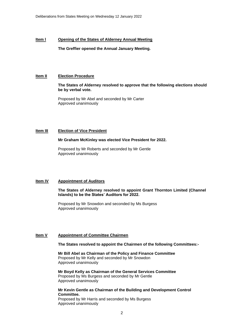#### **Item l Opening of the States of Alderney Annual Meeting**

**The Greffier opened the Annual January Meeting.**

#### **Item II Election Procedure**

#### **The States of Alderney resolved to approve that the following elections should be by verbal vote.**

Proposed by Mr Abel and seconded by Mr Carter Approved unanimously

#### **Item III Election of Vice President**

#### **Mr Graham McKinley was elected Vice President for 2022.**

Proposed by Mr Roberts and seconded by Mr Gentle Approved unanimously

#### **Item IV Appointment of Auditors**

#### **The States of Alderney resolved to appoint Grant Thornton Limited (Channel Islands) to be the States' Auditors for 2022.**

Proposed by Mr Snowdon and seconded by Ms Burgess Approved unanimously

#### **Item V Appointment of Committee Chairmen**

Approved unanimously

#### **The States resolved to appoint the Chairmen of the following Committees:-**

**Mr Bill Abel as Chairman of the Policy and Finance Committee** Proposed by Mr Kelly and seconded by Mr Snowdon Approved unanimously

**Mr Boyd Kelly as Chairman of the General Services Committee** Proposed by Ms Burgess and seconded by Mr Gentle Approved unanimously

**Mr Kevin Gentle as Chairman of the Building and Development Control Committee.** Proposed by Mr Harris and seconded by Ms Burgess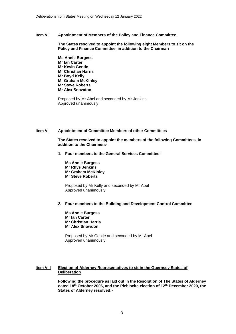#### **Item VI Appointment of Members of the Policy and Finance Committee**

**The States resolved to appoint the following eight Members to sit on the Policy and Finance Committee, in addition to the Chairman** 

**Ms Annie Burgess Mr Ian Carter Mr Kevin Gentle Mr Christian Harris Mr Boyd Kelly Mr Graham McKinley Mr Steve Roberts Mr Alex Snowdon**

Proposed by Mr Abel and seconded by Mr Jenkins Approved unanimously

#### **Item VII Appointment of Committee Members of other Committees**

**The States resolved to appoint the members of the following Committees, in addition to the Chairmen:-**

**1. Four members to the General Services Committee:-**

**Ms Annie Burgess Mr Rhys Jenkins Mr Graham McKinley Mr Steve Roberts**

Proposed by Mr Kelly and seconded by Mr Abel Approved unanimously

#### **2. Four members to the Building and Development Control Committee**

**Ms Annie Burgess Mr Ian Carter Mr Christian Harris Mr Alex Snowdon** 

Proposed by Mr Gentle and seconded by Mr Abel Approved unanimously

#### **Item VIII Election of Alderney Representatives to sit in the Guernsey States of Deliberation**

**Following the procedure as laid out in the Resolution of The States of Alderney dated 18th October 2006, and the Plebiscite election of 12th December 2020, the States of Alderney resolved:-**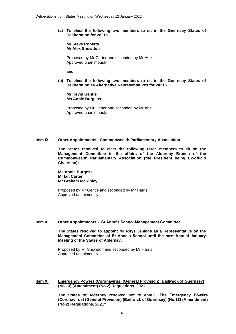**(a) To elect the following two members to sit in the Guernsey States of Deliberation for 2021:-**

**Mr Steve Roberts Mr Alex Snowdon**

Proposed by Mr Carter and seconded by Mr Abel Approved unanimously

**and**

**(b) To elect the following two members to sit in the Guernsey States of Deliberation as Alternative Representatives for 2021:-**

**Mr Kevin Gentle Ms Annie Burgess**

Proposed by Mr Carter and seconded by Mr Abel Approved unanimously

#### **Item IX Other Appointments: Commonwealth Parliamentary Association**

**The States resolved to elect the following three members to sit on the Management Committee in the affairs of the Alderney Branch of the Commonwealth Parliamentary Association (the President being Ex-officio Chairman):-**

**Ms Annie Burgess Mr Ian Carter Mr Graham McKinley**

Proposed by Mr Gentle and seconded by Mr Harris Approved unanimously

#### **Item X Other Appointments:- St Anne's School Management Committee**

**The States resolved to appoint Mr Rhys Jenkins as a Representative on the Management Committee of St Anne's School until the next Annual January Meeting of the States of Alderney.**

Proposed by Mr Snowdon and seconded by Mr Harris Approved unanimously

#### **Item XI Emergency Powers (Coronavirus) (General Provision) (Bailiwick of Guernsey) (No.13) (Amendment) (No.2) Regulations, 2021**

**The States of Alderney resolved not to annul "The Emergency Powers (Coronavirus) (General Provision) (Bailiwick of Guernsey) (No.13) (Amendment) (No.2) Regulations, 2021"**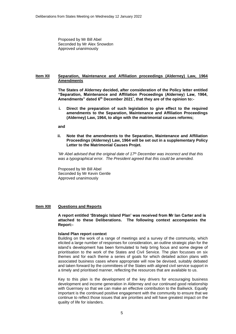Proposed by Mr Bill Abel Seconded by Mr Alex Snowdon Approved unanimously

#### **Item XII Separation, Maintenance and Affiliation proceedings (Alderney) Law, 1964 Amendments**

**The States of Alderney decided, after consideration of the Policy letter entitled "Separation, Maintenance and Affiliation Proceedings (Alderney) Law, 1964, Amendments" dated 6 th December 2021\* , that they are of the opinion to:-**

**i. Direct the preparation of such legislation to give effect to the required amendments to the Separation, Maintenance and Affiliation Proceedings (Alderney) Law, 1964, to align with the matrimonial causes reforms;** 

#### **and**

**ii. Note that the amendments to the Separation, Maintenance and Affiliation Proceedings (Alderney) Law, 1964 will be set out in a supplementary Policy Letter to the Matrimonial Causes Projet.**

*\*Mr Abel advised that the original date of 17th December was incorrect and that this was a typographical error. The President agreed that this could be amended.*

Proposed by Mr Bill Abel Seconded by Mr Kevin Gentle Approved unanimously

#### **Item XIII Questions and Reports**

#### **A report entitled 'Strategic Island Plan' was received from Mr Ian Carter and is attached to these Deliberations. The following context accompanies the Report:-**

#### **Island Plan report context**

Building on the work of a range of meetings and a survey of the community, which elicited a large number of responses for consideration, an outline strategic plan for the island's development has been formulated to help bring focus and some degree of prioritisation to the work of the States and Civil Service. The plan focusses on six themes and for each theme a series of goals for which detailed action plans with associated business cases where appropriate will now be devised, suitably debated and taken forward by the committees of the States with aligned civil service support in a timely and prioritised manner, reflecting the resources that are available to us.

Key to this plan is the development of the key drivers for encouraging business development and income generation in Alderney and our continued good relationship with Guernsey so that we can make an effective contribution to the Bailiwick. Equally important is the continued positive engagement with the community to ensure that we continue to reflect those issues that are priorities and will have greatest impact on the quality of life for islanders.